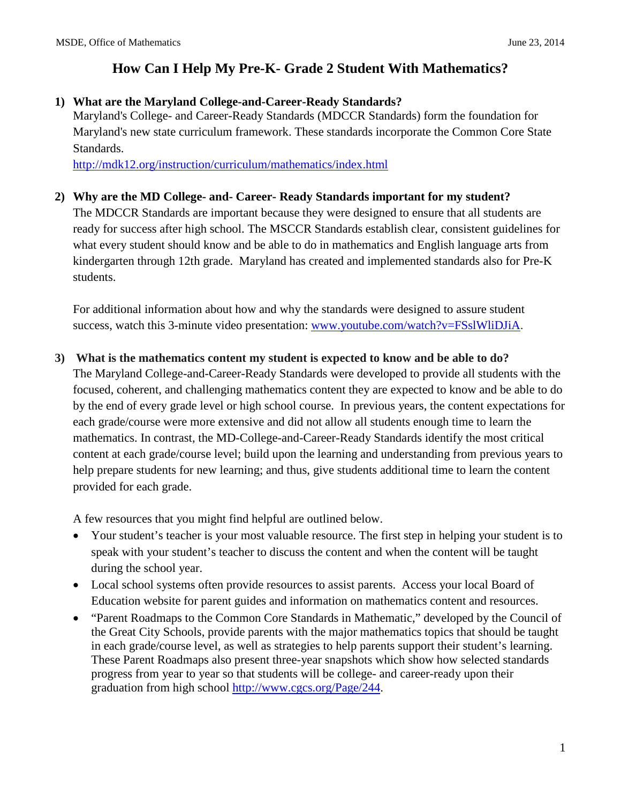### **1) What are the Maryland College-and-Career-Ready Standards?**

Maryland's College- and Career-Ready Standards (MDCCR Standards) form the foundation for Maryland's new state curriculum framework. These standards incorporate the Common Core State Standards.

<http://mdk12.org/instruction/curriculum/mathematics/index.html>

#### **2) Why are the MD College- and- Career- Ready Standards important for my student?**

The MDCCR Standards are important because they were designed to ensure that all students are ready for success after high school. The MSCCR Standards establish clear, consistent guidelines for what every student should know and be able to do in mathematics and English language arts from kindergarten through 12th grade. Maryland has created and implemented standards also for Pre-K students.

For additional information about how and why the standards were designed to assure student success, watch this 3-minute video presentation: [www.youtube.com/watch?v=FSslWliDJiA](http://www.youtube.com/watch?v=FSslWliDJiA).

#### **3) What is the mathematics content my student is expected to know and be able to do?**

The Maryland College-and-Career-Ready Standards were developed to provide all students with the focused, coherent, and challenging mathematics content they are expected to know and be able to do by the end of every grade level or high school course. In previous years, the content expectations for each grade/course were more extensive and did not allow all students enough time to learn the mathematics. In contrast, the MD-College-and-Career-Ready Standards identify the most critical content at each grade/course level; build upon the learning and understanding from previous years to help prepare students for new learning; and thus, give students additional time to learn the content provided for each grade.

A few resources that you might find helpful are outlined below.

- Your student's teacher is your most valuable resource. The first step in helping your student is to speak with your student's teacher to discuss the content and when the content will be taught during the school year.
- Local school systems often provide resources to assist parents. Access your local Board of Education website for parent guides and information on mathematics content and resources.
- "Parent Roadmaps to the Common Core Standards in Mathematic," developed by the Council of the Great City Schools, provide parents with the major mathematics topics that should be taught in each grade/course level, as well as strategies to help parents support their student's learning. These Parent Roadmaps also present three-year snapshots which show how selected standards progress from year to year so that students will be college- and career-ready upon their graduation from high school [http://www.cgcs.org/Page/244.](http://www.cgcs.org/Page/244)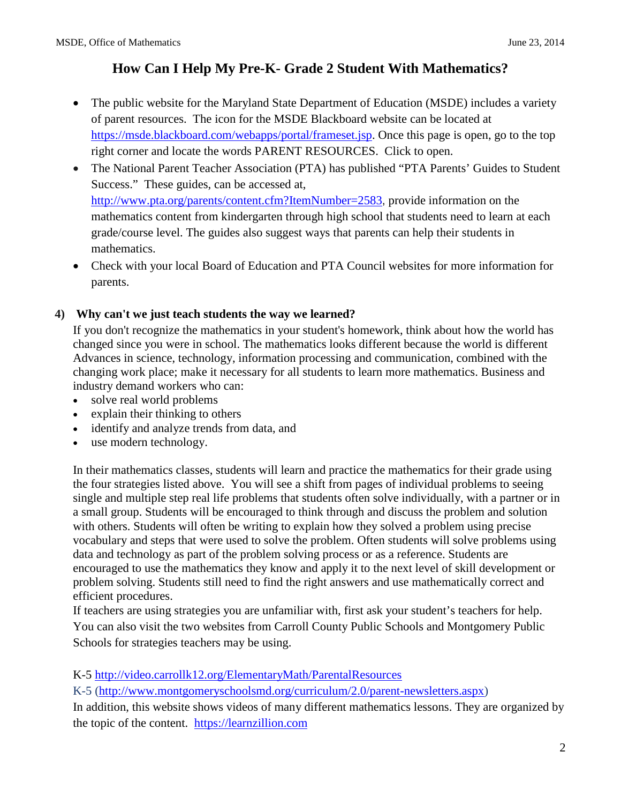- The public website for the Maryland State Department of Education (MSDE) includes a variety of parent resources. The icon for the MSDE Blackboard website can be located at [https://msde.blackboard.com/webapps/portal/frameset.jsp.](https://msde.blackboard.com/webapps/portal/frameset.jsp) Once this page is open, go to the top right corner and locate the words PARENT RESOURCES. Click to open.
- The National Parent Teacher Association (PTA) has published "PTA Parents' Guides to Student Success." These guides, can be accessed at, <http://www.pta.org/parents/content.cfm?ItemNumber=2583>, provide information on the mathematics content from kindergarten through high school that students need to learn at each grade/course level. The guides also suggest ways that parents can help their students in mathematics.
- Check with your local Board of Education and PTA Council websites for more information for parents.

#### **4) Why can't we just teach students the way we learned?**

If you don't recognize the mathematics in your student's homework, think about how the world has changed since you were in school. The mathematics looks different because the world is different Advances in science, technology, information processing and communication, combined with the changing work place; make it necessary for all students to learn more mathematics. Business and industry demand workers who can:

- solve real world problems
- explain their thinking to others
- identify and analyze trends from data, and
- use modern technology.

In their mathematics classes, students will learn and practice the mathematics for their grade using the four strategies listed above. You will see a shift from pages of individual problems to seeing single and multiple step real life problems that students often solve individually, with a partner or in a small group. Students will be encouraged to think through and discuss the problem and solution with others. Students will often be writing to explain how they solved a problem using precise vocabulary and steps that were used to solve the problem. Often students will solve problems using data and technology as part of the problem solving process or as a reference. Students are encouraged to use the mathematics they know and apply it to the next level of skill development or problem solving. Students still need to find the right answers and use mathematically correct and efficient procedures.

If teachers are using strategies you are unfamiliar with, first ask your student's teachers for help. You can also visit the two websites from Carroll County Public Schools and Montgomery Public Schools for strategies teachers may be using.

K-5<http://video.carrollk12.org/ElementaryMath/ParentalResources>

K-5 [\(http://www.montgomeryschoolsmd.org/curriculum/2.0/parent-newsletters.aspx\)](http://www.montgomeryschoolsmd.org/curriculum/2.0/parent-newsletters.aspx)

In addition, this website shows videos of many different mathematics lessons. They are organized by the topic of the content. [https://learnzillion.com](https://learnzillion.com/)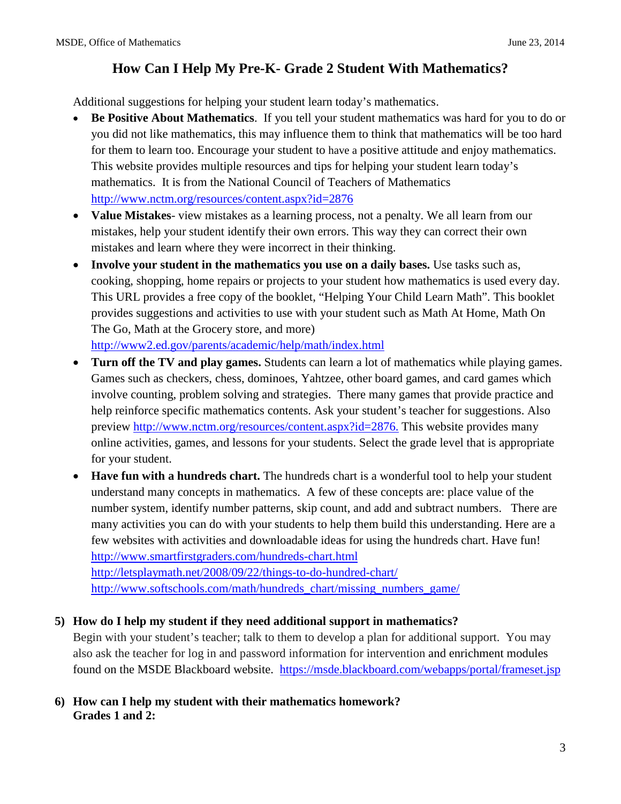Additional suggestions for helping your student learn today's mathematics.

- **Be Positive About Mathematics**. If you tell your student mathematics was hard for you to do or you did not like mathematics, this may influence them to think that mathematics will be too hard for them to learn too. Encourage your student to have a positive attitude and enjoy mathematics. This website provides multiple resources and tips for helping your student learn today's mathematics. It is from the National Council of Teachers of Mathematics <http://www.nctm.org/resources/content.aspx?id=2876>
- **Value Mistakes** view mistakes as a learning process, not a penalty. We all learn from our mistakes, help your student identify their own errors. This way they can correct their own mistakes and learn where they were incorrect in their thinking.
- **Involve your student in the mathematics you use on a daily bases.** Use tasks such as, cooking, shopping, home repairs or projects to your student how mathematics is used every day. This URL provides a free copy of the booklet, "Helping Your Child Learn Math". This booklet provides suggestions and activities to use with your student such as Math At Home, Math On The Go, Math at the Grocery store, and more)

<http://www2.ed.gov/parents/academic/help/math/index.html>

- **Turn off the TV and play games.** Students can learn a lot of mathematics while playing games. Games such as checkers, chess, dominoes, Yahtzee, other board games, and card games which involve counting, problem solving and strategies. There many games that provide practice and help reinforce specific mathematics contents. Ask your student's teacher for suggestions. Also preview [http://www.nctm.org/resources/content.aspx?id=2876.](http://www.nctm.org/resources/content.aspx?id=2876) This website provides many online activities, games, and lessons for your students. Select the grade level that is appropriate for your student.
- **Have fun with a hundreds chart.** The hundreds chart is a wonderful tool to help your student understand many concepts in mathematics. A few of these concepts are: place value of the number system, identify number patterns, skip count, and add and subtract numbers. There are many activities you can do with your students to help them build this understanding. Here are a few websites with activities and downloadable ideas for using the hundreds chart. Have fun! <http://www.smartfirstgraders.com/hundreds-chart.html> <http://letsplaymath.net/2008/09/22/things-to-do-hundred-chart/> [http://www.softschools.com/math/hundreds\\_chart/missing\\_numbers\\_game/](http://www.softschools.com/math/hundreds_chart/missing_numbers_game/)

### **5) How do I help my student if they need additional support in mathematics?**

Begin with your student's teacher; talk to them to develop a plan for additional support. You may also ask the teacher for log in and password information for intervention and enrichment modules found on the MSDE Blackboard website. <https://msde.blackboard.com/webapps/portal/frameset.jsp>

#### **6) How can I help my student with their mathematics homework? Grades 1 and 2:**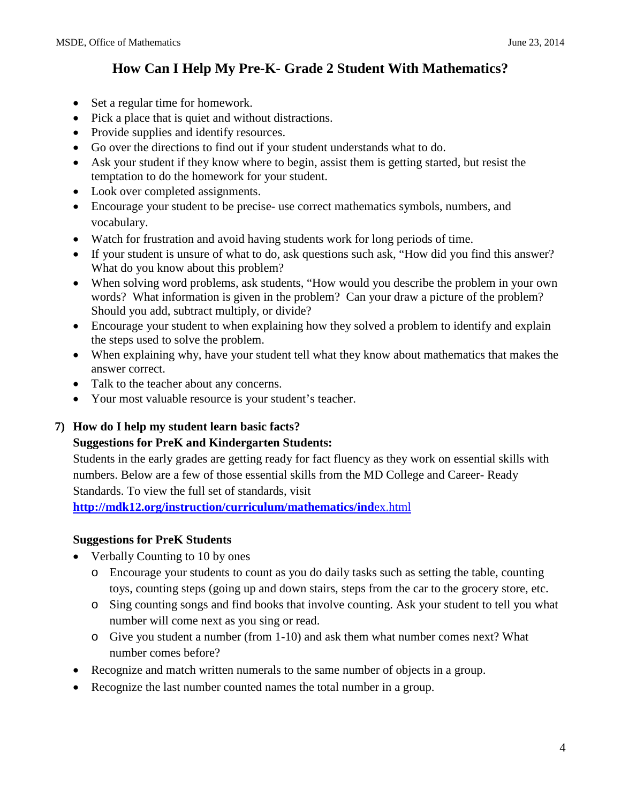- Set a regular time for homework.
- Pick a place that is quiet and without distractions.
- Provide supplies and identify resources.
- Go over the directions to find out if your student understands what to do.
- Ask your student if they know where to begin, assist them is getting started, but resist the temptation to do the homework for your student.
- Look over completed assignments.
- Encourage your student to be precise- use correct mathematics symbols, numbers, and vocabulary.
- Watch for frustration and avoid having students work for long periods of time.
- If your student is unsure of what to do, ask questions such ask, "How did you find this answer? What do you know about this problem?
- When solving word problems, ask students, "How would you describe the problem in your own words? What information is given in the problem? Can your draw a picture of the problem? Should you add, subtract multiply, or divide?
- Encourage your student to when explaining how they solved a problem to identify and explain the steps used to solve the problem.
- When explaining why, have your student tell what they know about mathematics that makes the answer correct.
- Talk to the teacher about any concerns.
- Your most valuable resource is your student's teacher.

### **7) How do I help my student learn basic facts?**

### **Suggestions for PreK and Kindergarten Students:**

Students in the early grades are getting ready for fact fluency as they work on essential skills with numbers. Below are a few of those essential skills from the MD College and Career- Ready Standards. To view the full set of standards, visit

**[http://mdk12.org/instruction/curriculum/mathematics/ind](http://mdk12.org/instruction/curriculum/mathematics/index.html)**ex.html

### **Suggestions for PreK Students**

- Verbally Counting to 10 by ones
	- o Encourage your students to count as you do daily tasks such as setting the table, counting toys, counting steps (going up and down stairs, steps from the car to the grocery store, etc.
	- o Sing counting songs and find books that involve counting. Ask your student to tell you what number will come next as you sing or read.
	- o Give you student a number (from 1-10) and ask them what number comes next? What number comes before?
- Recognize and match written numerals to the same number of objects in a group.
- Recognize the last number counted names the total number in a group.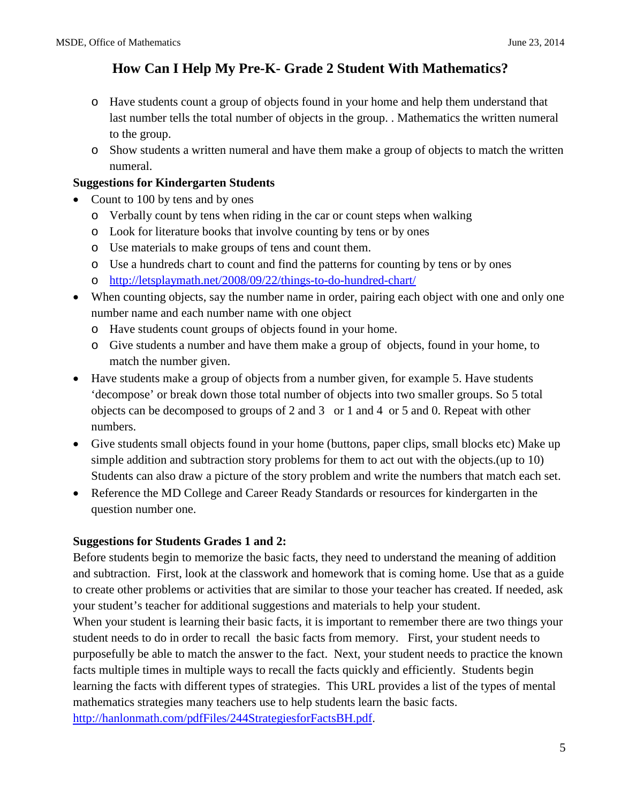- o Have students count a group of objects found in your home and help them understand that last number tells the total number of objects in the group. . Mathematics the written numeral to the group.
- o Show students a written numeral and have them make a group of objects to match the written numeral.

#### **Suggestions for Kindergarten Students**

- Count to 100 by tens and by ones
	- o Verbally count by tens when riding in the car or count steps when walking
	- o Look for literature books that involve counting by tens or by ones
	- o Use materials to make groups of tens and count them.
	- o Use a hundreds chart to count and find the patterns for counting by tens or by ones
	- o <http://letsplaymath.net/2008/09/22/things-to-do-hundred-chart/>
- When counting objects, say the number name in order, pairing each object with one and only one number name and each number name with one object
	- o Have students count groups of objects found in your home.
	- o Give students a number and have them make a group of objects, found in your home, to match the number given.
- Have students make a group of objects from a number given, for example 5. Have students 'decompose' or break down those total number of objects into two smaller groups. So 5 total objects can be decomposed to groups of 2 and 3 or 1 and 4 or 5 and 0. Repeat with other numbers.
- Give students small objects found in your home (buttons, paper clips, small blocks etc) Make up simple addition and subtraction story problems for them to act out with the objects.(up to 10) Students can also draw a picture of the story problem and write the numbers that match each set.
- Reference the MD College and Career Ready Standards or resources for kindergarten in the question number one.

### **Suggestions for Students Grades 1 and 2:**

Before students begin to memorize the basic facts, they need to understand the meaning of addition and subtraction. First, look at the classwork and homework that is coming home. Use that as a guide to create other problems or activities that are similar to those your teacher has created. If needed, ask your student's teacher for additional suggestions and materials to help your student. When your student is learning their basic facts, it is important to remember there are two things your student needs to do in order to recall the basic facts from memory. First, your student needs to purposefully be able to match the answer to the fact. Next, your student needs to practice the known facts multiple times in multiple ways to recall the facts quickly and efficiently. Students begin learning the facts with different types of strategies. This URL provides a list of the types of mental mathematics strategies many teachers use to help students learn the basic facts. [http://hanlonmath.com/pdfFiles/244StrategiesforFactsBH.pdf.](http://hanlonmath.com/pdfFiles/244StrategiesforFactsBH.pdf)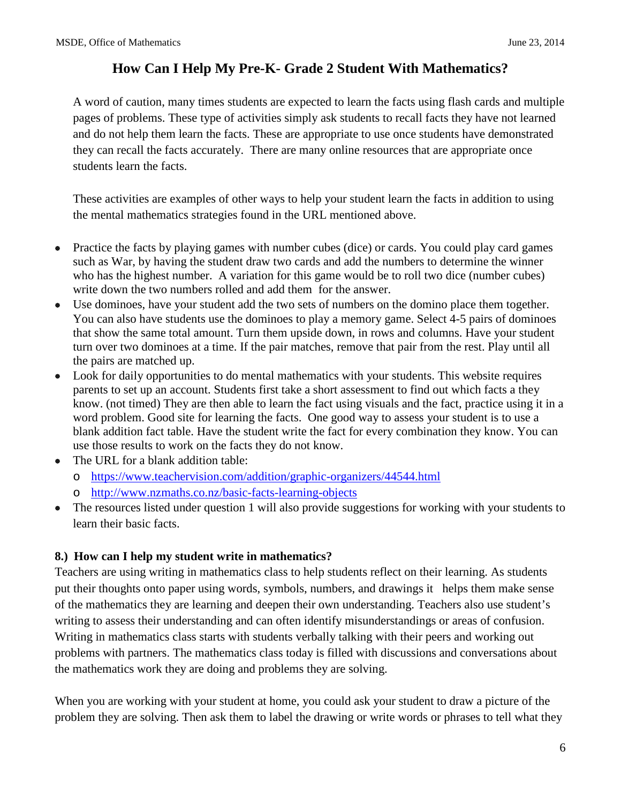A word of caution, many times students are expected to learn the facts using flash cards and multiple pages of problems. These type of activities simply ask students to recall facts they have not learned and do not help them learn the facts. These are appropriate to use once students have demonstrated they can recall the facts accurately. There are many online resources that are appropriate once students learn the facts.

These activities are examples of other ways to help your student learn the facts in addition to using the mental mathematics strategies found in the URL mentioned above.

- Practice the facts by playing games with number cubes (dice) or cards. You could play card games such as War, by having the student draw two cards and add the numbers to determine the winner who has the highest number. A variation for this game would be to roll two dice (number cubes) write down the two numbers rolled and add them for the answer.
- Use dominoes, have your student add the two sets of numbers on the domino place them together. You can also have students use the dominoes to play a memory game. Select 4-5 pairs of dominoes that show the same total amount. Turn them upside down, in rows and columns. Have your student turn over two dominoes at a time. If the pair matches, remove that pair from the rest. Play until all the pairs are matched up.
- Look for daily opportunities to do mental mathematics with your students. This website requires parents to set up an account. Students first take a short assessment to find out which facts a they know. (not timed) They are then able to learn the fact using visuals and the fact, practice using it in a word problem. Good site for learning the facts. One good way to assess your student is to use a blank addition fact table. Have the student write the fact for every combination they know. You can use those results to work on the facts they do not know.
- The URL for a blank addition table:
	- o <https://www.teachervision.com/addition/graphic-organizers/44544.html>
	- o http://www.nzmaths.co.nz/basic-facts-learning-objects
- The resources listed under question 1 will also provide suggestions for working with your students to learn their basic facts.

### **8.) How can I help my student write in mathematics?**

Teachers are using writing in mathematics class to help students reflect on their learning. As students put their thoughts onto paper using words, symbols, numbers, and drawings it helps them make sense of the mathematics they are learning and deepen their own understanding. Teachers also use student's writing to assess their understanding and can often identify misunderstandings or areas of confusion. Writing in mathematics class starts with students verbally talking with their peers and working out problems with partners. The mathematics class today is filled with discussions and conversations about the mathematics work they are doing and problems they are solving.

When you are working with your student at home, you could ask your student to draw a picture of the problem they are solving. Then ask them to label the drawing or write words or phrases to tell what they